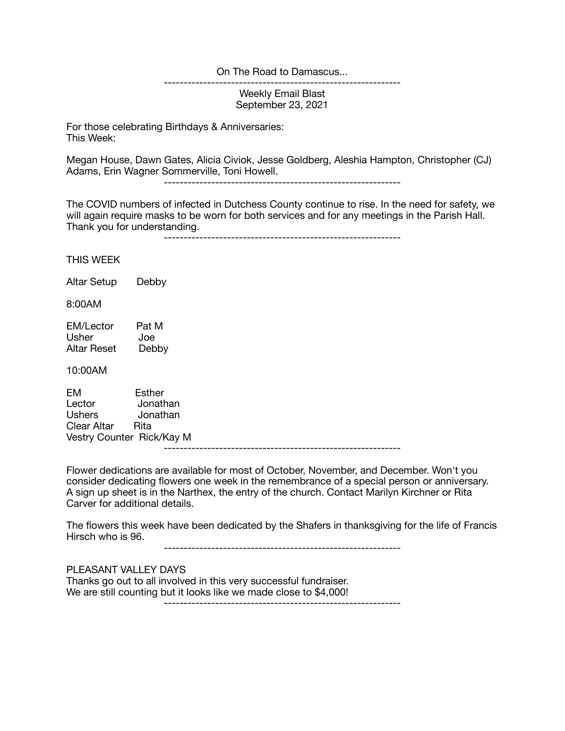## On The Road to Damascus...

------------------------------------------------------------

Weekly Email Blast September 23, 2021

For those celebrating Birthdays & Anniversaries: This Week:

Megan House, Dawn Gates, Alicia Civiok, Jesse Goldberg, Aleshia Hampton, Christopher (CJ) Adams, Erin Wagner Sommerville, Toni Howell.

------------------------------------------------------------

The COVID numbers of infected in Dutchess County continue to rise. In the need for safety, we will again require masks to be worn for both services and for any meetings in the Parish Hall. Thank you for understanding.

------------------------------------------------------------

THIS WEEK

Altar Setup Debby

8:00AM

EM/Lector Pat M<br>Usher Joe Joe Altar Reset Debby

10:00AM

EM Esther Lector Jonathan Ushers Jonathan Clear Altar Rita Vestry Counter Rick/Kay M ------------------------------------------------------------

Flower dedications are available for most of October, November, and December. Won't you consider dedicating flowers one week in the remembrance of a special person or anniversary. A sign up sheet is in the Narthex, the entry of the church. Contact Marilyn Kirchner or Rita Carver for additional details.

The flowers this week have been dedicated by the Shafers in thanksgiving for the life of Francis Hirsch who is 96.

------------------------------------------------------------

PLEASANT VALLEY DAYS

Thanks go out to all involved in this very successful fundraiser. We are still counting but it looks like we made close to \$4,000! ------------------------------------------------------------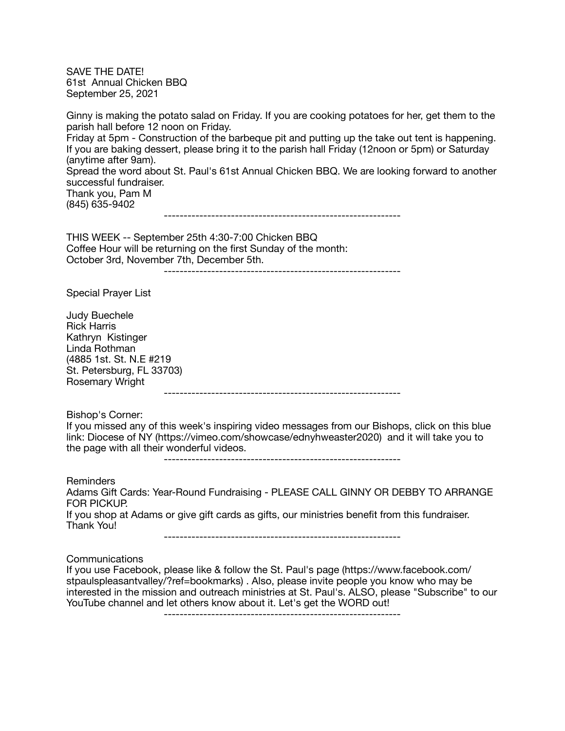SAVE THE DATE! 61st Annual Chicken BBQ September 25, 2021

Ginny is making the potato salad on Friday. If you are cooking potatoes for her, get them to the parish hall before 12 noon on Friday. Friday at 5pm - Construction of the barbeque pit and putting up the take out tent is happening. If you are baking dessert, please bring it to the parish hall Friday (12noon or 5pm) or Saturday (anytime after 9am). Spread the word about St. Paul's 61st Annual Chicken BBQ. We are looking forward to another successful fundraiser. Thank you, Pam M (845) 635-9402

------------------------------------------------------------

THIS WEEK -- September 25th 4:30-7:00 Chicken BBQ Coffee Hour will be returning on the first Sunday of the month: October 3rd, November 7th, December 5th.

------------------------------------------------------------

Special Prayer List

Judy Buechele Rick Harris Kathryn Kistinger Linda Rothman (4885 1st. St. N.E #219 St. Petersburg, FL 33703) Rosemary Wright

------------------------------------------------------------

Bishop's Corner:

If you missed any of this week's inspiring video messages from our Bishops, click on this blue link: Diocese of NY (https://vimeo.com/showcase/ednyhweaster2020) and it will take you to the page with all their wonderful videos.

------------------------------------------------------------

Reminders

Adams Gift Cards: Year-Round Fundraising - PLEASE CALL GINNY OR DEBBY TO ARRANGE FOR PICKUP. If you shop at Adams or give gift cards as gifts, our ministries benefit from this fundraiser. Thank You!

------------------------------------------------------------

Communications

If you use Facebook, please like & follow the St. Paul's page (https://www.facebook.com/ stpaulspleasantvalley/?ref=bookmarks) . Also, please invite people you know who may be interested in the mission and outreach ministries at St. Paul's. ALSO, please "Subscribe" to our YouTube channel and let others know about it. Let's get the WORD out!

------------------------------------------------------------